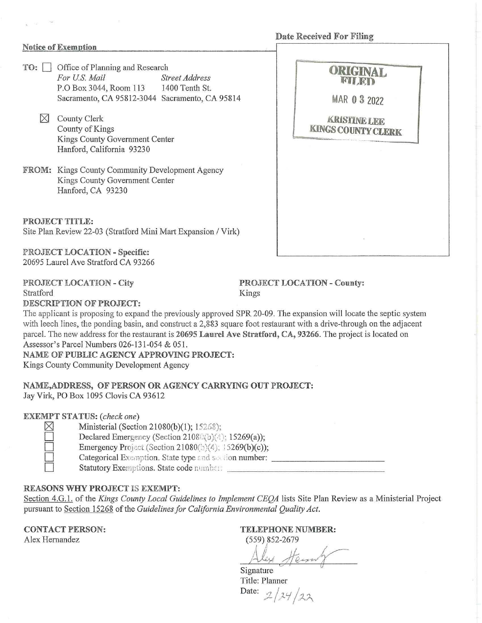Date Received For Filing

### Notice of Exemption

- **TO:**  $\Box$  Office of Planning and Research<br>For U.S. Mail Street Address For U.S. Mail P.O Box 3044, Room 113 1400 Tenth St. Sacramento, CA 95812-3044 Sacramento, CA 95814 MAR 0 3 2022
	- $\boxtimes$  County Clerk County of Kings Kings County Government Center Hanford, California 93230
- FROM: Kings County Community Development Agency Kings County Government Center Hanford, CA 93230

PROJECT TITLE: Site Plan Review 22-03 (Stratford Mini Mart Expansion / Virk)

PROJECT LOCATION - Specific: 20695 Laurel Ave Stratford CA 93266

### PROJECT LOCATION - City Stratford

PROJECT LOCATION - County: Kings

DESCRIPTION OF PROJECT:

The applicant is proposing to expand the previously approved SPR 20-09. The expansion will locate the septic system with leech lines, the ponding basin, and construct a 2,883 square foot restaurant with a drive-through on the adjacent parcel. The new address for the restaurant is 20695 Laurel Ave Stratford, CA, 93266. The project is located on Assessor's Parcel Numbers 026-131-054 & 051.

NAME OF PUBLIC AGENCY APPROVING PROJECT: Kings County Community Development Agency

# NAME,ADDRESS, OF PERSON OR AGENCY CARRYING OUT PROJECT: Jay Virk, PO Box 1095 Clovis CA 93612

### EXEMPT STATUS: *(check one)*

 $\mathbb{X}$  Ministerial (Section 21080(b)(1); 15268);

Declared Emergency (Section 21080(b)(4); 15269(a));

Emergency Project (Section 21080(5)(4):  $15269(b)(c)$ ;

D Categorical f~111 ion. State type <sup>~</sup>•:d 1>·. · ,:on number: \_\_\_\_\_\_\_\_\_\_ \_

D Statutory Exemptions. Stalecode1:1.: n-1L.::: \_\_\_\_\_\_\_\_\_\_\_\_\_\_ \_

## REASONS WHY PROJECT IS EXEMPT:

Section 4.G.1. of the *Kings County Local Guidelines to Implement CEOA* lists Site Plan Review as a Ministerial Project pursuant to Section 15268 of the *Guidelines for California Environmental Quality Act.* 

CONTACT PERSON: Alex Hernandez

TELEPHONE NUMBER:

(559) 852-2679 A *1/* , 152-2679<br>1 Henry

Signature Title: Planner Date:  $2/24/22$